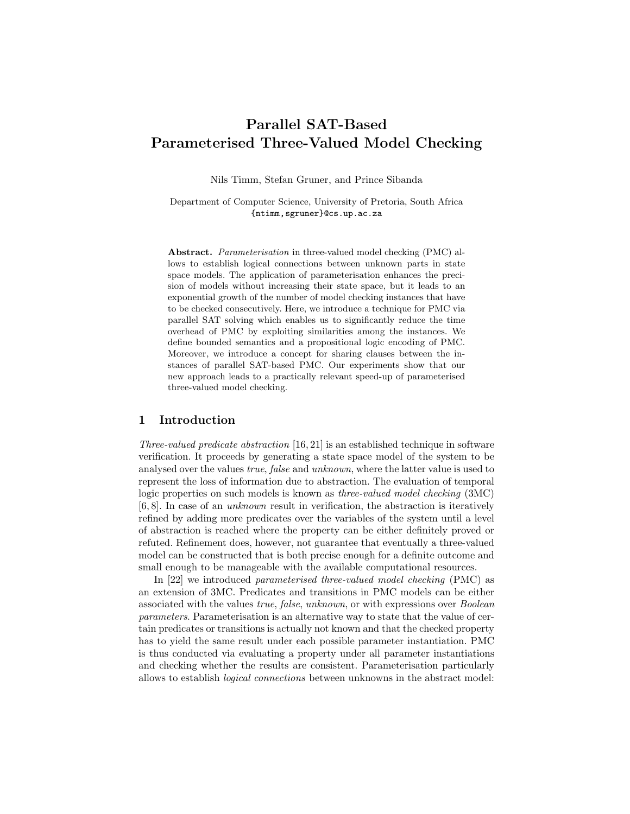# Parallel SAT-Based Parameterised Three-Valued Model Checking

Nils Timm, Stefan Gruner, and Prince Sibanda

Department of Computer Science, University of Pretoria, South Africa {ntimm,sgruner}@cs.up.ac.za

Abstract. Parameterisation in three-valued model checking (PMC) allows to establish logical connections between unknown parts in state space models. The application of parameterisation enhances the precision of models without increasing their state space, but it leads to an exponential growth of the number of model checking instances that have to be checked consecutively. Here, we introduce a technique for PMC via parallel SAT solving which enables us to significantly reduce the time overhead of PMC by exploiting similarities among the instances. We define bounded semantics and a propositional logic encoding of PMC. Moreover, we introduce a concept for sharing clauses between the instances of parallel SAT-based PMC. Our experiments show that our new approach leads to a practically relevant speed-up of parameterised three-valued model checking.

#### 1 Introduction

Three-valued predicate abstraction [16, 21] is an established technique in software verification. It proceeds by generating a state space model of the system to be analysed over the values true, false and unknown, where the latter value is used to represent the loss of information due to abstraction. The evaluation of temporal logic properties on such models is known as three-valued model checking (3MC) [6, 8]. In case of an unknown result in verification, the abstraction is iteratively refined by adding more predicates over the variables of the system until a level of abstraction is reached where the property can be either definitely proved or refuted. Refinement does, however, not guarantee that eventually a three-valued model can be constructed that is both precise enough for a definite outcome and small enough to be manageable with the available computational resources.

In [22] we introduced parameterised three-valued model checking (PMC) as an extension of 3MC. Predicates and transitions in PMC models can be either associated with the values true, false, unknown, or with expressions over Boolean parameters. Parameterisation is an alternative way to state that the value of certain predicates or transitions is actually not known and that the checked property has to yield the same result under each possible parameter instantiation. PMC is thus conducted via evaluating a property under all parameter instantiations and checking whether the results are consistent. Parameterisation particularly allows to establish logical connections between unknowns in the abstract model: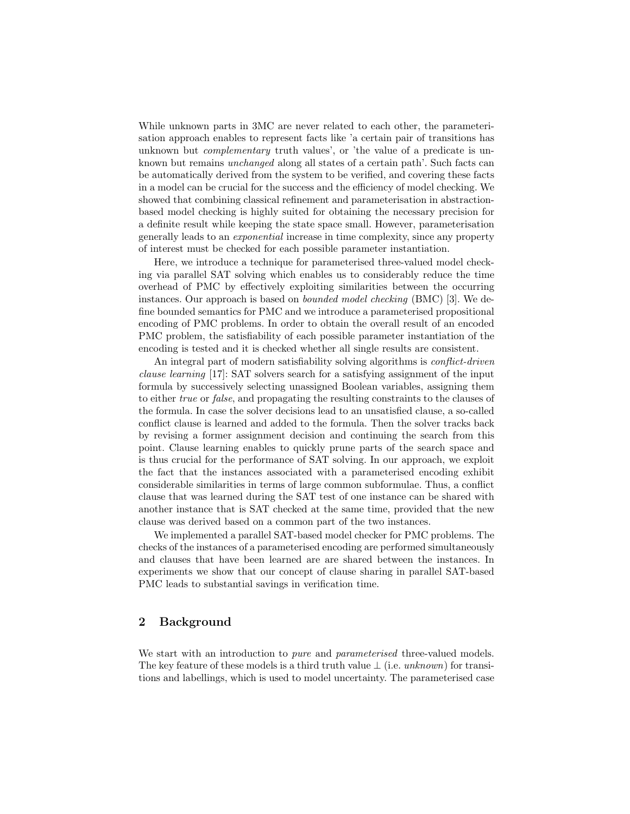While unknown parts in 3MC are never related to each other, the parameterisation approach enables to represent facts like 'a certain pair of transitions has unknown but *complementary* truth values', or 'the value of a predicate is unknown but remains unchanged along all states of a certain path'. Such facts can be automatically derived from the system to be verified, and covering these facts in a model can be crucial for the success and the efficiency of model checking. We showed that combining classical refinement and parameterisation in abstractionbased model checking is highly suited for obtaining the necessary precision for a definite result while keeping the state space small. However, parameterisation generally leads to an exponential increase in time complexity, since any property of interest must be checked for each possible parameter instantiation.

Here, we introduce a technique for parameterised three-valued model checking via parallel SAT solving which enables us to considerably reduce the time overhead of PMC by effectively exploiting similarities between the occurring instances. Our approach is based on bounded model checking (BMC) [3]. We define bounded semantics for PMC and we introduce a parameterised propositional encoding of PMC problems. In order to obtain the overall result of an encoded PMC problem, the satisfiability of each possible parameter instantiation of the encoding is tested and it is checked whether all single results are consistent.

An integral part of modern satisfiability solving algorithms is *conflict-driven* clause learning [17]: SAT solvers search for a satisfying assignment of the input formula by successively selecting unassigned Boolean variables, assigning them to either true or false, and propagating the resulting constraints to the clauses of the formula. In case the solver decisions lead to an unsatisfied clause, a so-called conflict clause is learned and added to the formula. Then the solver tracks back by revising a former assignment decision and continuing the search from this point. Clause learning enables to quickly prune parts of the search space and is thus crucial for the performance of SAT solving. In our approach, we exploit the fact that the instances associated with a parameterised encoding exhibit considerable similarities in terms of large common subformulae. Thus, a conflict clause that was learned during the SAT test of one instance can be shared with another instance that is SAT checked at the same time, provided that the new clause was derived based on a common part of the two instances.

We implemented a parallel SAT-based model checker for PMC problems. The checks of the instances of a parameterised encoding are performed simultaneously and clauses that have been learned are are shared between the instances. In experiments we show that our concept of clause sharing in parallel SAT-based PMC leads to substantial savings in verification time.

# 2 Background

We start with an introduction to *pure* and *parameterised* three-valued models. The key feature of these models is a third truth value  $\perp$  (i.e. unknown) for transitions and labellings, which is used to model uncertainty. The parameterised case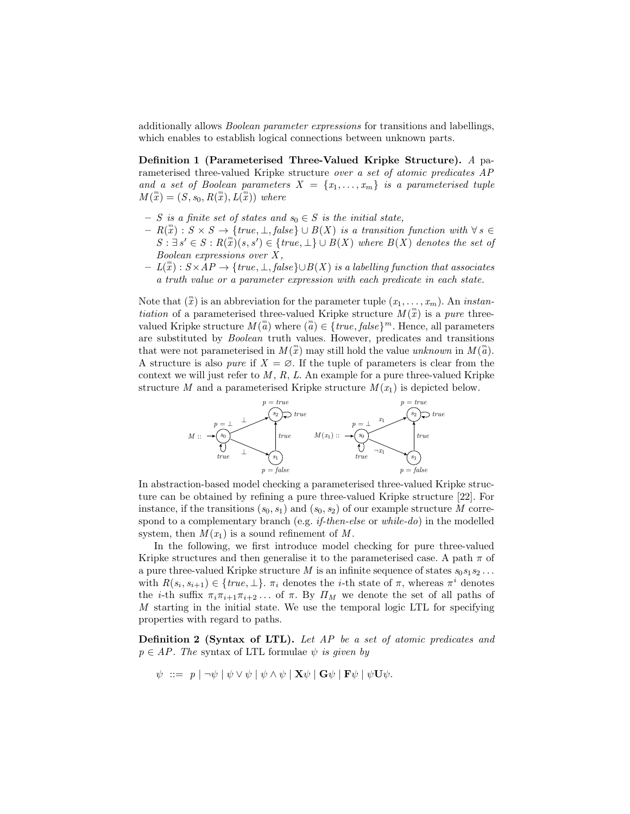additionally allows Boolean parameter expressions for transitions and labellings, which enables to establish logical connections between unknown parts.

Definition 1 (Parameterised Three-Valued Kripke Structure). A parameterised three-valued Kripke structure over a set of atomic predicates AP and a set of Boolean parameters  $X = \{x_1, \ldots, x_m\}$  is a parameterised tuple  $M(\mathbf{x}) = (S, s_0, R(\mathbf{x}), L(\mathbf{x}))$  where

- S is a finite set of states and  $s_0 \in S$  is the initial state,
- $-R(x): S \times S \rightarrow \{true, \perp, false\} \cup B(X)$  is a transition function with  $\forall s \in$  $S: \exists s' \in S: R(\mathbb{F})\ (s, s') \in \{true, \bot\} \cup B(X)$  where  $B(X)$  denotes the set of Boolean expressions over  $X$ ,
- $-I(T) : S \times AP \rightarrow \{true, \bot, false\} \cup B(X)$  is a labelling function that associates a truth value or a parameter expression with each predicate in each state.

Note that  $\binom{m}{x}$  is an abbreviation for the parameter tuple  $(x_1, \ldots, x_m)$ . An *instan*tiation of a parameterised three-valued Kripke structure  $M(\mathbb{R})$  is a pure threevalued Kripke structure  $M(\binom{n}{a})$  where  $\binom{m}{a} \in \{true, false\}^m$ . Hence, all parameters are substituted by Boolean truth values. However, predicates and transitions that were not parameterised in  $M(\mathbf{x})$  may still hold the value unknown in  $M(\mathbf{x})$ . A structure is also *pure* if  $X = \emptyset$ . If the tuple of parameters is clear from the context we will just refer to  $M, R, L$ . An example for a pure three-valued Kripke structure M and a parameterised Kripke structure  $M(x_1)$  is depicted below.



In abstraction-based model checking a parameterised three-valued Kripke structure can be obtained by refining a pure three-valued Kripke structure [22]. For instance, if the transitions  $(s_0, s_1)$  and  $(s_0, s_2)$  of our example structure M correspond to a complementary branch (e.g. *if-then-else* or *while-do*) in the modelled system, then  $M(x_1)$  is a sound refinement of M.

In the following, we first introduce model checking for pure three-valued Kripke structures and then generalise it to the parameterised case. A path  $\pi$  of a pure three-valued Kripke structure M is an infinite sequence of states  $s_0s_1s_2 \ldots$ with  $R(s_i, s_{i+1}) \in \{true, \perp\}$ .  $\pi_i$  denotes the *i*-th state of  $\pi$ , whereas  $\pi^i$  denotes the *i*-th suffix  $\pi_i \pi_{i+1} \pi_{i+2} \dots$  of  $\pi$ . By  $\Pi_M$  we denote the set of all paths of M starting in the initial state. We use the temporal logic LTL for specifying properties with regard to paths.

Definition 2 (Syntax of LTL). Let AP be a set of atomic predicates and  $p \in AP$ . The syntax of LTL formulae  $\psi$  is given by

$$
\psi \ ::= \ p \mid \neg \psi \mid \psi \vee \psi \mid \psi \wedge \psi \mid \mathbf{X} \psi \mid \mathbf{G} \psi \mid \mathbf{F} \psi \mid \psi \mathbf{U} \psi.
$$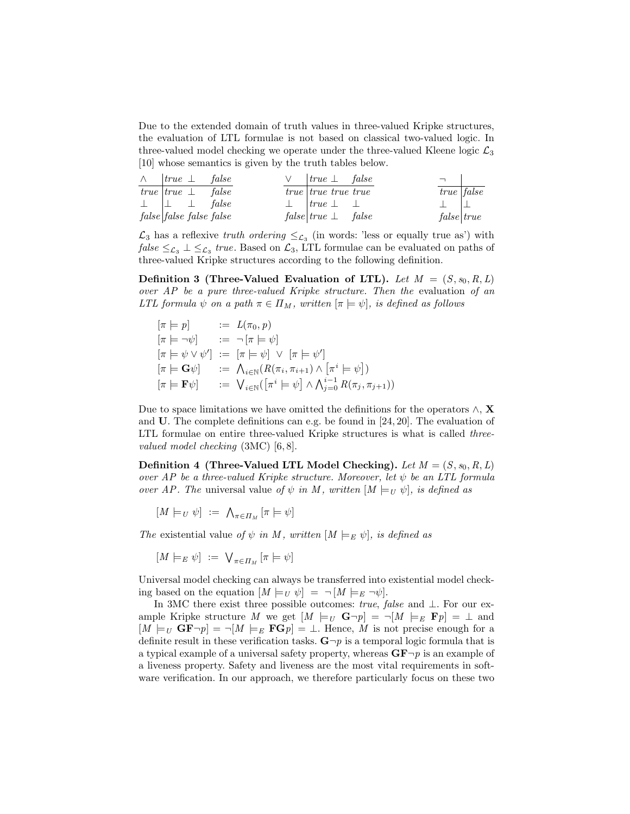Due to the extended domain of truth values in three-valued Kripke structures, the evaluation of LTL formulae is not based on classical two-valued logic. In three-valued model checking we operate under the three-valued Kleene logic  $\mathcal{L}_3$ [10] whose semantics is given by the truth tables below.

|  | $\wedge$  true $\perp$ false  | $\vee$  true $\perp$ false     |  |                |
|--|-------------------------------|--------------------------------|--|----------------|
|  | true $true \perp false$       | <i>true true true true</i>     |  | $true$   false |
|  | $\perp$ $\perp$ $\perp$ false | $\perp$   true $\perp$ $\perp$ |  |                |
|  | false false false             | $false   true \perp false$     |  | false   true   |

 $\mathcal{L}_3$  has a reflexive truth ordering  $\leq_{\mathcal{L}_3}$  (in words: 'less or equally true as') with  $\mathit{false} \leq_{\mathcal{L}_3} \bot \leq_{\mathcal{L}_3} \mathit{true}$ . Based on  $\mathcal{L}_3$ , LTL formulae can be evaluated on paths of three-valued Kripke structures according to the following definition.

Definition 3 (Three-Valued Evaluation of LTL). Let  $M = (S, s_0, R, L)$ over AP be a pure three-valued Kripke structure. Then the evaluation of an LTL formula  $\psi$  on a path  $\pi \in \Pi_M$ , written  $[\pi \models \psi]$ , is defined as follows

$$
\begin{array}{lll}\n[\pi \models p] & := & L(\pi_0, p) \\
[\pi \models \neg \psi] & := & \neg [\pi \models \psi] \\
[\pi \models \psi \lor \psi'] & := & [\pi \models \psi] \lor [\pi \models \psi'] \\
[\pi \models \mathbf{G}\psi] & := & \bigwedge_{i \in \mathbb{N}} (R(\pi_i, \pi_{i+1}) \land [\pi^i \models \psi]) \\
[\pi \models \mathbf{F}\psi] & := & \bigvee_{i \in \mathbb{N}} ([\pi^i \models \psi] \land \bigwedge_{j=0}^{i-1} R(\pi_j, \pi_{j+1}))\n\end{array}
$$

Due to space limitations we have omitted the definitions for the operators  $\wedge$ , X and U. The complete definitions can e.g. be found in [24, 20]. The evaluation of LTL formulae on entire three-valued Kripke structures is what is called *three*valued model checking (3MC) [6, 8].

Definition 4 (Three-Valued LTL Model Checking). Let  $M = (S, s_0, R, L)$ over AP be a three-valued Kripke structure. Moreover, let  $\psi$  be an LTL formula over AP. The universal value of  $\psi$  in M, written  $[M \models_U \psi]$ , is defined as

 $[M \models_U \psi] := \bigwedge_{\pi \in \Pi_M} [\pi \models \psi]$ 

The existential value of  $\psi$  in M, written  $[M \models_E \psi]$ , is defined as

$$
[M \models_E \psi] := \bigvee_{\pi \in \Pi_M} [\pi \models \psi]
$$

Universal model checking can always be transferred into existential model checking based on the equation  $[M \models_U \psi] = \neg[M \models_E \neg \psi].$ 

In 3MC there exist three possible outcomes: true, false and  $\perp$ . For our example Kripke structure M we get  $[M \models_U \mathbf{G} \neg p] = \neg[M \models_E \mathbf{F} p] = \bot$  and  $[M \models_U \mathbf{GF} \neg p] = \neg[M \models_E \mathbf{FG} p] = \bot$ . Hence, M is not precise enough for a definite result in these verification tasks.  $\mathbf{G} \neg p$  is a temporal logic formula that is a typical example of a universal safety property, whereas  $\mathbf{G}\mathbf{F}-p$  is an example of a liveness property. Safety and liveness are the most vital requirements in software verification. In our approach, we therefore particularly focus on these two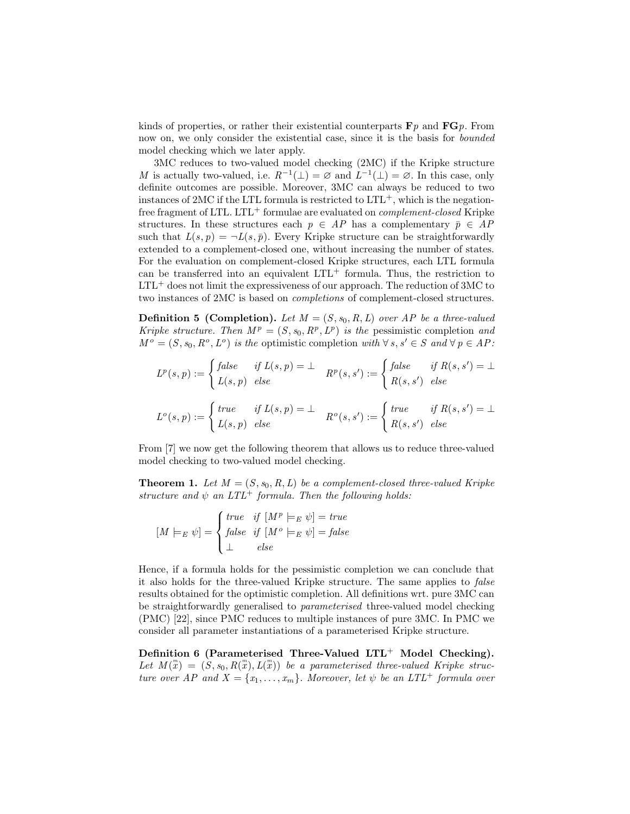kinds of properties, or rather their existential counterparts  $\mathbf{F}p$  and  $\mathbf{F}Gp$ . From now on, we only consider the existential case, since it is the basis for *bounded* model checking which we later apply.

3MC reduces to two-valued model checking (2MC) if the Kripke structure M is actually two-valued, i.e.  $R^{-1}(\perp) = \emptyset$  and  $L^{-1}(\perp) = \emptyset$ . In this case, only definite outcomes are possible. Moreover, 3MC can always be reduced to two instances of 2MC if the LTL formula is restricted to  $LTL^{+}$ , which is the negationfree fragment of LTL. LTL<sup>+</sup> formulae are evaluated on *complement-closed* Kripke structures. In these structures each  $p \in AP$  has a complementary  $\bar{p} \in AP$ such that  $L(s, p) = \neg L(s, \bar{p})$ . Every Kripke structure can be straightforwardly extended to a complement-closed one, without increasing the number of states. For the evaluation on complement-closed Kripke structures, each LTL formula can be transferred into an equivalent  $LTL^{+}$  formula. Thus, the restriction to  $LTL^{+}$  does not limit the expressiveness of our approach. The reduction of 3MC to two instances of 2MC is based on completions of complement-closed structures.

**Definition 5 (Completion).** Let  $M = (S, s_0, R, L)$  over AP be a three-valued Kripke structure. Then  $M^p = (S, s_0, R^p, L^p)$  is the pessimistic completion and  $M^o = (S, s_0, R^o, L^o)$  is the optimistic completion with  $\forall s, s' \in S$  and  $\forall p \in AP$ :

$$
L^p(s,p) := \begin{cases} false & \text{if } L(s,p) = \bot \\ L(s,p) & \text{else} \end{cases} \quad R^p(s,s') := \begin{cases} false & \text{if } R(s,s') = \bot \\ R(s,s') & \text{else} \end{cases}
$$

$$
L^o(s,p) := \begin{cases} true & \text{if } L(s,p) = \bot \\ L(s,p) & \text{else} \end{cases} \quad R^o(s,s') := \begin{cases} true & \text{if } R(s,s') = \bot \\ R(s,s') & \text{else} \end{cases}
$$

From [7] we now get the following theorem that allows us to reduce three-valued model checking to two-valued model checking.

**Theorem 1.** Let  $M = (S, s_0, R, L)$  be a complement-closed three-valued Kripke structure and  $\psi$  an  $LTL^+$  formula. Then the following holds:

$$
[M \models_E \psi] = \begin{cases} \text{true} & \text{if } [M^p \models_E \psi] = \text{true} \\ \text{false} & \text{if } [M^o \models_E \psi] = \text{false} \\ \bot & \text{else} \end{cases}
$$

Hence, if a formula holds for the pessimistic completion we can conclude that it also holds for the three-valued Kripke structure. The same applies to false results obtained for the optimistic completion. All definitions wrt. pure 3MC can be straightforwardly generalised to parameterised three-valued model checking (PMC) [22], since PMC reduces to multiple instances of pure 3MC. In PMC we consider all parameter instantiations of a parameterised Kripke structure.

Definition 6 (Parameterised Three-Valued  $LTL^{+}$  Model Checking). Let  $M(\mathbb{T}) = (S, s_0, R(\mathbb{T}), L(\mathbb{T}))$  be a parameterised three-valued Kripke structure over AP and  $X = \{x_1, \ldots, x_m\}$ . Moreover, let  $\psi$  be an LTL<sup>+</sup> formula over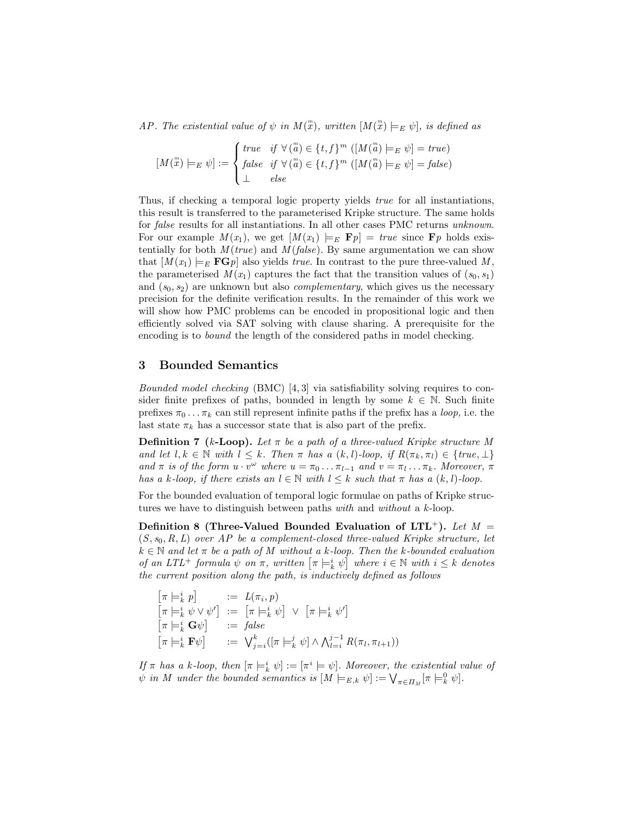AP. The existential value of  $\psi$  in  $M(\mathbb{R})$ , written  $[M(\mathbb{R}) \models_E \psi]$ , is defined as

$$
[M(\stackrel{m}{x}) \models_E \psi] := \begin{cases} \text{true} & \text{if } \forall (\stackrel{m}{a}) \in \{t, f\}^m \ ([M(\stackrel{m}{a}) \models_E \psi] = \text{true}) \\ \text{false} & \text{if } \forall (\stackrel{m}{a}) \in \{t, f\}^m \ ([M(\stackrel{m}{a}) \models_E \psi] = \text{false}) \\ \perp & \text{else} \end{cases}
$$

Thus, if checking a temporal logic property yields *true* for all instantiations, this result is transferred to the parameterised Kripke structure. The same holds for false results for all instantiations. In all other cases PMC returns unknown. For our example  $M(x_1)$ , we get  $[M(x_1) \models_E \mathbf{F} p] = true$  since  $\mathbf{F} p$  holds existentially for both  $M(true)$  and  $M(false)$ . By same argumentation we can show that  $[M(x_1) \models_E \mathbf{FG} p]$  also yields *true*. In contrast to the pure three-valued M, the parameterised  $M(x_1)$  captures the fact that the transition values of  $(s_0, s_1)$ and  $(s_0, s_2)$  are unknown but also *complementary*, which gives us the necessary precision for the definite verification results. In the remainder of this work we will show how PMC problems can be encoded in propositional logic and then efficiently solved via SAT solving with clause sharing. A prerequisite for the encoding is to bound the length of the considered paths in model checking.

#### 3 Bounded Semantics

Bounded model checking (BMC) [4, 3] via satisfiability solving requires to consider finite prefixes of paths, bounded in length by some  $k \in \mathbb{N}$ . Such finite prefixes  $\pi_0 \dots \pi_k$  can still represent infinite paths if the prefix has a *loop*, i.e. the last state  $\pi_k$  has a successor state that is also part of the prefix.

**Definition 7** (k-Loop). Let  $\pi$  be a path of a three-valued Kripke structure M and let  $l, k \in \mathbb{N}$  with  $l \leq k$ . Then  $\pi$  has a  $(k, l)$ -loop, if  $R(\pi_k, \pi_l) \in \{true, \bot\}$ and  $\pi$  is of the form  $u \cdot v^{\omega}$  where  $u = \pi_0 \dots \pi_{l-1}$  and  $v = \pi_l \dots \pi_k$ . Moreover,  $\pi$ has a k-loop, if there exists an  $l \in \mathbb{N}$  with  $l \leq k$  such that  $\pi$  has a  $(k, l)$ -loop.

For the bounded evaluation of temporal logic formulae on paths of Kripke structures we have to distinguish between paths with and without a k-loop.

Definition 8 (Three-Valued Bounded Evaluation of  $LTL^+$ ). Let  $M =$  $(S, s_0, R, L)$  over AP be a complement-closed three-valued Kripke structure, let  $k \in \mathbb{N}$  and let  $\pi$  be a path of M without a k-loop. Then the k-bounded evaluation of an LTL<sup>+</sup> formula  $\psi$  on  $\pi$ , written  $\left[\pi \models_k^i \psi\right]$  where  $i \in \mathbb{N}$  with  $i \leq k$  denotes the current position along the path, is inductively defined as follows

$$
\begin{array}{lll}\n[\pi \models^i_k p] & := L(\pi_i, p) \\
[\pi \models^i_k \psi \lor \psi'] & := [\pi \models^i_k \psi] \lor [\pi \models^i_k \psi'] \\
[\pi \models^i_k \mathbf{G} \psi] & := \text{false} \\
[\pi \models^i_k \mathbf{F} \psi] & := \bigvee^k_{j=i}([\pi \models^j_k \psi] \land \bigwedge^{j-1}_{l=i} R(\pi_l, \pi_{l+1}))\n\end{array}
$$

If  $\pi$  has a k-loop, then  $[\pi \models_k^i \psi] := [\pi^i \models \psi]$ . Moreover, the existential value of  $\psi$  in M under the bounded semantics is  $[M \models_{E,k} \psi] := \bigvee_{\pi \in \Pi_M} [\pi \models_k^0 \psi].$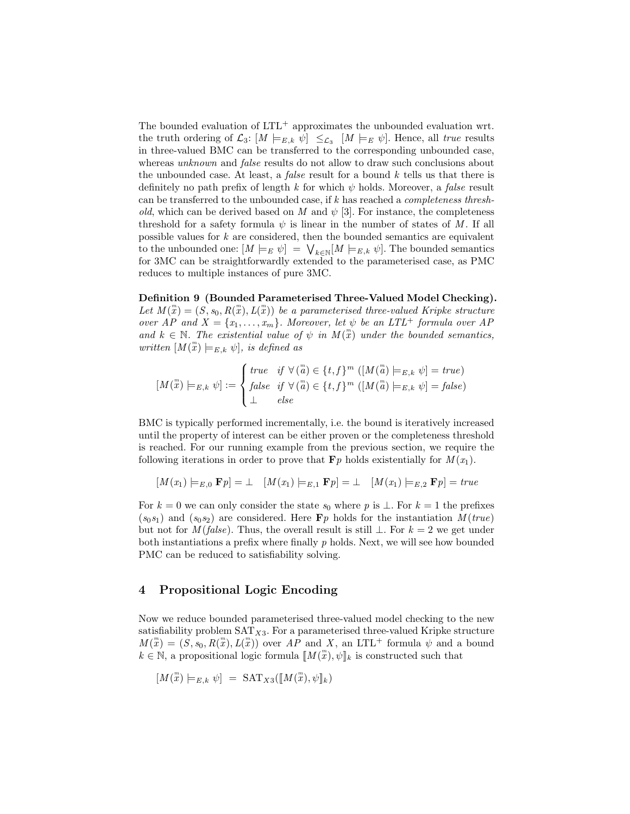The bounded evaluation of  $LTL^{+}$  approximates the unbounded evaluation wrt. the truth ordering of  $\mathcal{L}_3$ :  $[M \models_{E,k} \psi] \leq_{\mathcal{L}_3} [M \models_E \psi]$ . Hence, all true results in three-valued BMC can be transferred to the corresponding unbounded case, whereas unknown and *false* results do not allow to draw such conclusions about the unbounded case. At least, a *false* result for a bound  $k$  tells us that there is definitely no path prefix of length k for which  $\psi$  holds. Moreover, a *false* result can be transferred to the unbounded case, if k has reached a completeness threshold, which can be derived based on M and  $\psi$  [3]. For instance, the completeness threshold for a safety formula  $\psi$  is linear in the number of states of M. If all possible values for  $k$  are considered, then the bounded semantics are equivalent to the unbounded one:  $[M \models_E \psi] = \bigvee_{k \in \mathbb{N}} [M \models_{E,k} \psi]$ . The bounded semantics for 3MC can be straightforwardly extended to the parameterised case, as PMC reduces to multiple instances of pure 3MC.

Definition 9 (Bounded Parameterised Three-Valued Model Checking). Let  $M(\mathbb{R}) = (S, s_0, R(\mathbb{R}), L(\mathbb{R}))$  be a parameterised three-valued Kripke structure over AP and  $X = \{x_1, \ldots, x_m\}$ . Moreover, let  $\psi$  be an LTL<sup>+</sup> formula over AP and  $k \in \mathbb{N}$ . The existential value of  $\psi$  in  $M(\mathbb{T})$  under the bounded semantics, written  $[M(\stackrel{m}{x})\models_{E,k}\psi],$  is defined as

$$
[M(\stackrel{m}{x}) \models_{E,k} \psi] := \begin{cases} \text{true} & \text{if } \forall (\stackrel{m}{a}) \in \{t, f\}^m \ ([M(\stackrel{m}{a}) \models_{E,k} \psi] = \text{true}) \\ \text{false} & \text{if } \forall (\stackrel{m}{a}) \in \{t, f\}^m \ ([M(\stackrel{m}{a}) \models_{E,k} \psi] = \text{false}) \\ \perp & \text{else} \end{cases}
$$

BMC is typically performed incrementally, i.e. the bound is iteratively increased until the property of interest can be either proven or the completeness threshold is reached. For our running example from the previous section, we require the following iterations in order to prove that  $\mathbf{F}p$  holds existentially for  $M(x_1)$ .

$$
[M(x_1) \models_{E,0} \mathbf{F}p] = \bot \quad [M(x_1) \models_{E,1} \mathbf{F}p] = \bot \quad [M(x_1) \models_{E,2} \mathbf{F}p] = true
$$

For  $k = 0$  we can only consider the state  $s_0$  where p is  $\bot$ . For  $k = 1$  the prefixes  $(s_0s_1)$  and  $(s_0s_2)$  are considered. Here  $\mathbf{F}p$  holds for the instantiation  $M(true)$ but not for  $M(false)$ . Thus, the overall result is still  $\bot$ . For  $k = 2$  we get under both instantiations a prefix where finally  $p$  holds. Next, we will see how bounded PMC can be reduced to satisfiability solving.

## 4 Propositional Logic Encoding

Now we reduce bounded parameterised three-valued model checking to the new satisfiability problem  $SAT_{X3}$ . For a parameterised three-valued Kripke structure  $M(\mathbb{R}) = (S, s_0, R(\mathbb{R}), L(\mathbb{R}))$  over AP and X, an LTL<sup>+</sup> formula  $\psi$  and a bound  $k \in \mathbb{N}$ , a propositional logic formula  $\llbracket M(\mathbf{x}), \psi \rrbracket_k$  is constructed such that

$$
[M(\stackrel{m}{x})\models_{E,k}\psi] = \text{SAT}_{X3}([M(\stackrel{m}{x}), \psi]_k)
$$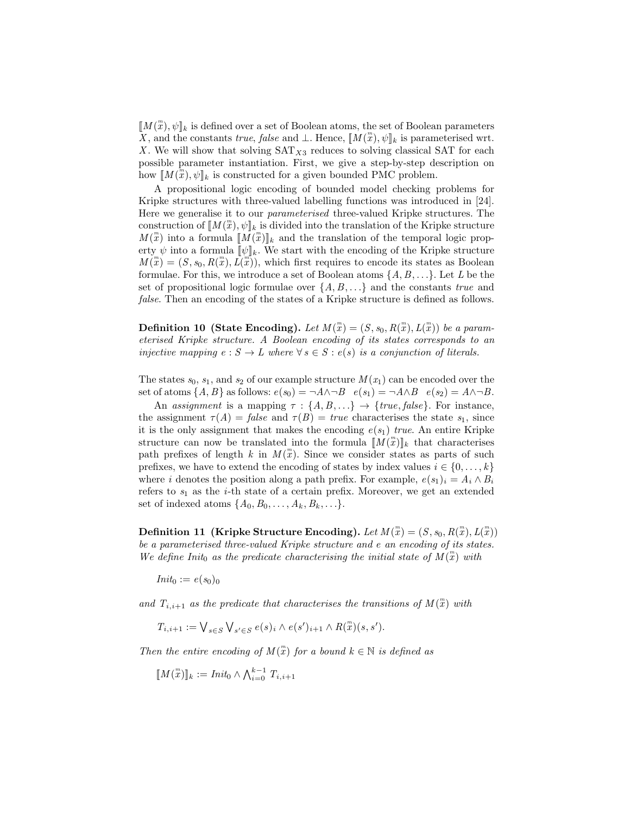$[[M(\mathbb{Z}), \psi]]_k$  is defined over a set of Boolean atoms, the set of Boolean parameters X, and the constants true, false and  $\bot$ . Hence,  $\llbracket M(\mathbf{x}), \psi \rrbracket_k$  is parameterised wrt. X. We will show that solving  $SAT_{X3}$  reduces to solving classical SAT for each possible parameter instantiation. First, we give a step-by-step description on how  $\llbracket M(\mathbf{x}), \psi \rrbracket_k$  is constructed for a given bounded PMC problem.

A propositional logic encoding of bounded model checking problems for Kripke structures with three-valued labelling functions was introduced in [24]. Here we generalise it to our parameterised three-valued Kripke structures. The construction of  $\llbracket M(\mathbf{x}), \psi \rrbracket_k$  is divided into the translation of the Kripke structure  $M(\mathbb{Z})$  into a formula  $\llbracket M(\mathbb{Z}) \rrbracket_k$  and the translation of the temporal logic property  $\psi$  into a formula  $[\![\psi]\!]_k$ . We start with the encoding of the Kripke structure  $M(\mathbf{x}) = (S, s_0, R(\mathbf{x}), L(\mathbf{x}))$ , which first requires to encode its states as Boolean formulae. For this, we introduce a set of Boolean atoms  $\{A, B, \ldots\}$ . Let L be the set of propositional logic formulae over  $\{A, B, \ldots\}$  and the constants true and false. Then an encoding of the states of a Kripke structure is defined as follows.

**Definition 10 (State Encoding).** Let  $M(\mathbf{x}) = (S, s_0, R(\mathbf{x}), L(\mathbf{x}))$  be a parameterised Kripke structure. A Boolean encoding of its states corresponds to an injective mapping  $e : S \to L$  where  $\forall s \in S : e(s)$  is a conjunction of literals.

The states  $s_0$ ,  $s_1$ , and  $s_2$  of our example structure  $M(x_1)$  can be encoded over the set of atoms  $\{A, B\}$  as follows:  $e(s_0) = \neg A \land \neg B \quad e(s_1) = \neg A \land B \quad e(s_2) = A \land \neg B$ .

An assignment is a mapping  $\tau : \{A, B, ...\} \rightarrow \{true, false\}$ . For instance, the assignment  $\tau(A) = false$  and  $\tau(B) = true$  characterises the state  $s_1$ , since it is the only assignment that makes the encoding  $e(s_1)$  true. An entire Kripke structure can now be translated into the formula  $\llbracket M(\substack{m \\ x}^m \rrbracket_k$  that characterises path prefixes of length k in  $M(\mathbb{Z})$ . Since we consider states as parts of such prefixes, we have to extend the encoding of states by index values  $i \in \{0, \ldots, k\}$ where i denotes the position along a path prefix. For example,  $e(s_1)_i = A_i \wedge B_i$ refers to  $s_1$  as the *i*-th state of a certain prefix. Moreover, we get an extended set of indexed atoms  $\{A_0, B_0, \ldots, A_k, B_k, \ldots\}.$ 

Definition 11 (Kripke Structure Encoding). Let  $M(\mathbb{R})=(S,s_0,R(\mathbb{R}),L(\mathbb{R}))$ be a parameterised three-valued Kripke structure and e an encoding of its states. We define Init<sub>0</sub> as the predicate characterising the initial state of  $M(\mathbb{R})$  with

 $Init_0 := e(s_0)_0$ 

and  $T_{i,i+1}$  as the predicate that characterises the transitions of  $M(\mathbb{R})$  with

$$
T_{i,i+1} := \bigvee_{s \in S} \bigvee_{s' \in S} e(s)_i \wedge e(s')_{i+1} \wedge R(\mathbf{x}) (s, s').
$$

Then the entire encoding of  $M(\mathbb{T})$  for a bound  $k \in \mathbb{N}$  is defined as

$$
[\![M(\mathbf{x})]\!]_k := \text{Init}_0 \wedge \bigwedge_{i=0}^{k-1} T_{i,i+1}
$$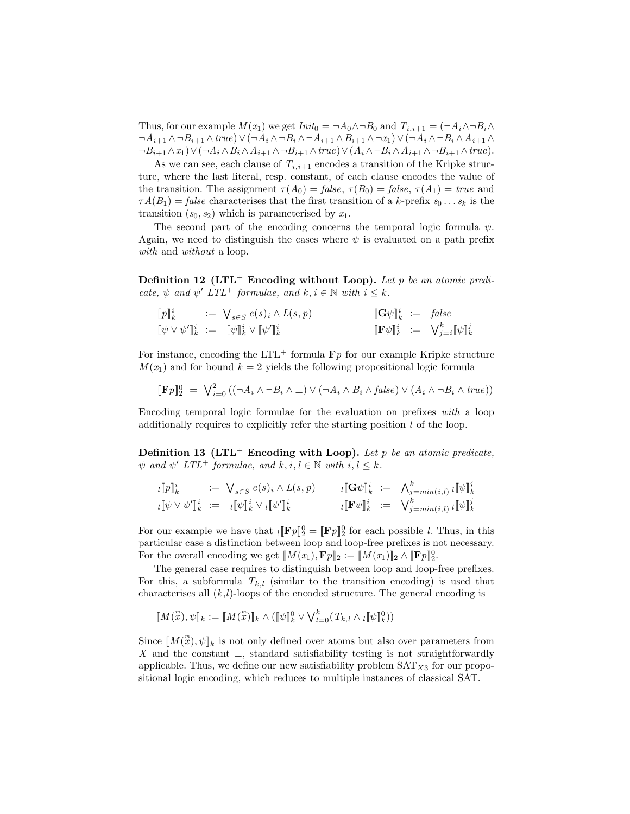Thus, for our example  $M(x_1)$  we get  $Init_0 = \neg A_0 \wedge \neg B_0$  and  $T_{i,i+1} = (\neg A_i \wedge \neg B_i \wedge \neg B_i \wedge \neg B_i \wedge \neg B_i \wedge \neg B_i \wedge \neg B_i \wedge \neg B_i \wedge \neg B_i \wedge \neg B_i \wedge \neg B_i \wedge \neg B_i \wedge \neg B_i \wedge \neg B_i \wedge \neg B_i \wedge \neg B_i \wedge \neg B_i \wedge \neg B_i \wedge \neg B_i \wedge \neg B_i \wedge \neg B_i \wedge \neg B_i$  $\neg A_{i+1} \land \neg B_{i+1} \land true) \lor (\neg A_i \land \neg B_i \land \neg A_{i+1} \land B_{i+1} \land \neg x_1) \lor (\neg A_i \land \neg B_i \land A_{i+1} \land \neg x_1)$  $\neg B_{i+1} \wedge x_1) \vee (\neg A_i \wedge B_i \wedge A_{i+1} \wedge \neg B_{i+1} \wedge true) \vee (A_i \wedge \neg B_i \wedge A_{i+1} \wedge \neg B_{i+1} \wedge true).$ 

As we can see, each clause of  $T_{i,i+1}$  encodes a transition of the Kripke structure, where the last literal, resp. constant, of each clause encodes the value of the transition. The assignment  $\tau(A_0) = false, \tau(B_0) = false, \tau(A_1) = true$  and  $\tau A(B_1) = \text{false}$  characterises that the first transition of a k-prefix  $s_0 \dots s_k$  is the transition  $(s_0, s_2)$  which is parameterised by  $x_1$ .

The second part of the encoding concerns the temporal logic formula  $\psi$ . Again, we need to distinguish the cases where  $\psi$  is evaluated on a path prefix with and without a loop.

**Definition 12 (LTL<sup>+</sup> Encoding without Loop).** Let p be an atomic predicate,  $\psi$  and  $\psi'$  LTL<sup>+</sup> formulae, and  $k, i \in \mathbb{N}$  with  $i \leq k$ .

$$
\begin{array}{lllllll} \llbracket p \rrbracket_k^i &:= \bigvee_{s \in S} e(s)_i \wedge L(s, p) & \llbracket \mathbf{G} \psi \rrbracket_k^i &:= \text{ false} \\ \llbracket \psi \vee \psi' \rrbracket_k^i &:= \llbracket \psi \rrbracket_k^i \vee \llbracket \psi' \rrbracket_k^i & \llbracket \mathbf{F} \psi \rrbracket_k^i &:= \bigvee_{j=i}^k \llbracket \psi \rrbracket_k^j \end{array}
$$

For instance, encoding the LTL<sup>+</sup> formula  $\mathbf{F}p$  for our example Kripke structure  $M(x_1)$  and for bound  $k = 2$  yields the following propositional logic formula

$$
[\![\mathbf{F}p]\!]_2^0 = \bigvee_{i=0}^{2} ((\neg A_i \wedge \neg B_i \wedge \bot) \vee (\neg A_i \wedge B_i \wedge false) \vee (A_i \wedge \neg B_i \wedge true))
$$

Encoding temporal logic formulae for the evaluation on prefixes with a loop additionally requires to explicitly refer the starting position l of the loop.

**Definition 13 (LTL<sup>+</sup> Encoding with Loop).** Let p be an atomic predicate,  $\psi$  and  $\psi'$  LTL<sup>+</sup> formulae, and  $k, i, l \in \mathbb{N}$  with  $i, l \leq k$ .

$$
\begin{array}{lllllll} \imath [\![p]\!]_k^i & := & \bigvee_{s \in S} e(s)_i \wedge L(s, p) & & \imath [\![\mathbf{G}\psi]\!]_k^i & := & \bigwedge_{j = min(i, l)}^k \imath [\![\psi]\!]_k^j \\ \imath [\![\psi \vee \psi']\!]_k^i & := & \imath [\![\psi]\!]_k^i \vee \imath [\![\psi']\!]_k^i & & \imath [\![\mathbf{F}\psi]\!]_k^i & := & \bigvee_{j = min(i, l)}^k \imath [\![\psi]\!]_k^j \end{array}
$$

For our example we have that  $_l[\mathbf{F}_p]_2^0 = [\mathbf{F}_p]_2^0$  for each possible l. Thus, in this particular case a distinction between loop and loop-free prefixes is not necessary. For the overall encoding we get  $\llbracket M(x_1), \mathbf{F} p \rrbracket_2 := \llbracket M(x_1) \rrbracket_2 \wedge \llbracket \mathbf{F} p \rrbracket_2^0$ .

The general case requires to distinguish between loop and loop-free prefixes. For this, a subformula  $T_{k,l}$  (similar to the transition encoding) is used that characterises all  $(k,l)$ -loops of the encoded structure. The general encoding is

$$
[\![M(\substack{m\\x}), \psi]\!]_k := [\![M(\substack{m\\x})]\!]_k \wedge ([\![\psi]\!]_k^0 \vee \bigvee_{l=0}^k (T_{k,l} \wedge \iota[\![\psi]\!]_k^0))
$$

Since  $\llbracket M(\mathbf{x}), \psi \rrbracket_k$  is not only defined over atoms but also over parameters from X and the constant  $\perp$ , standard satisfiability testing is not straightforwardly applicable. Thus, we define our new satisfiability problem  $SAT_{X3}$  for our propositional logic encoding, which reduces to multiple instances of classical SAT.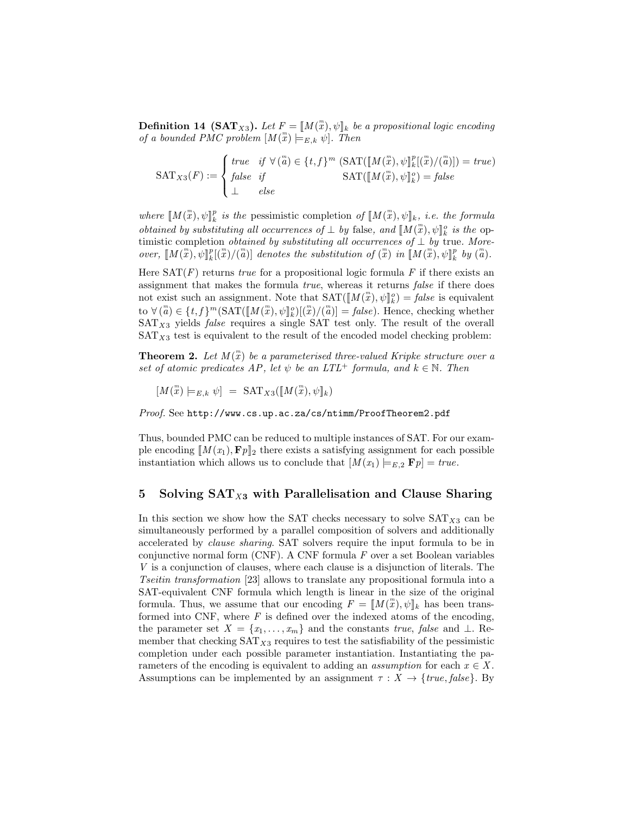**Definition 14 (SAT**<sub>X3</sub>). Let  $F = [M(\mathbf{x}), \psi]_k$  be a propositional logic encoding of a bounded PMC problem  $[M(\mathbb{F}) \models_{E,k} \psi]$ . Then

$$
\text{SAT}_{X3}(F) := \begin{cases} \text{true} & \text{if } \forall (\overset{m}{a}) \in \{t, f\}^m \text{ (SAT}([\hspace{-.10em} [ M (\overset{m}{x}), \psi] \overset{p}{\underset{k}{\parallel}} [(\overset{m}{x}) / (\overset{m}{a})]) = \text{true}) \\ \text{false} & \text{if } \\ \bot & \text{else} \end{cases}
$$

where  $\llbracket M(\mathbf{x}), \psi \rrbracket_k^p$  is the pessimistic completion of  $\llbracket M(\mathbf{x}), \psi \rrbracket_k$ , i.e. the formula obtained by substituting all occurrences of  $\perp$  by false, and  $\llbracket M(\stackrel{m}{x}), \psi \rrbracket_k^o$  is the optimistic completion *obtained by substituting all occurrences of*  $\bot$  *by true. More*over,  $\llbracket M(\mathbf{x}), \psi \rrbracket_k^p[(\mathbf{x})/(\mathbf{a})]$  denotes the substitution of  $(\mathbf{x})$  in  $\llbracket M(\mathbf{x}), \psi \rrbracket_k^p$  by  $(\mathbf{a})$ .

Here  $SAT(F)$  returns true for a propositional logic formula F if there exists an assignment that makes the formula true, whereas it returns false if there does not exist such an assignment. Note that  $\text{SAT}([\![M(\substack{m\\ \infty}), \psi]\!]_k^o) = \text{false}$  is equivalent to  $\forall (\stackrel{m}{a}) \in \{t, f\}^m(\text{SAT}([\![M(\stackrel{m}{x}), \psi]\!]_k^o)[(\stackrel{m}{x})/(\stackrel{m}{a})] = \text{false}).$  Hence, checking whether  $SAT_{X3}$  yields *false* requires a single SAT test only. The result of the overall  $SAT_{X3}$  test is equivalent to the result of the encoded model checking problem:

**Theorem 2.** Let  $M(\mathbf{x})$  be a parameterised three-valued Kripke structure over a set of atomic predicates AP, let  $\psi$  be an  $LTL^+$  formula, and  $k \in \mathbb{N}$ . Then

 $[M(\stackrel{m}{x})\models_{E,k} \psi] = \text{SAT}_{X3}([M(\stackrel{m}{x}), \psi]_k)$ 

Proof. See http://www.cs.up.ac.za/cs/ntimm/ProofTheorem2.pdf

Thus, bounded PMC can be reduced to multiple instances of SAT. For our example encoding  $[M(x_1), F_p]_2$  there exists a satisfying assignment for each possible instantiation which allows us to conclude that  $[M(x_1) \models_{E,2} \mathbf{F} p] = true$ .

#### 5 Solving  $SAT<sub>X3</sub>$  with Parallelisation and Clause Sharing

In this section we show how the SAT checks necessary to solve  $SAT_{X3}$  can be simultaneously performed by a parallel composition of solvers and additionally accelerated by clause sharing. SAT solvers require the input formula to be in conjunctive normal form (CNF). A CNF formula  $F$  over a set Boolean variables V is a conjunction of clauses, where each clause is a disjunction of literals. The Tseitin transformation [23] allows to translate any propositional formula into a SAT-equivalent CNF formula which length is linear in the size of the original formula. Thus, we assume that our encoding  $F = [M(\mathbf{x}), \psi]_k$  has been transformed into CNF, where  $F$  is defined over the indexed atoms of the encoding, the parameter set  $X = \{x_1, \ldots, x_m\}$  and the constants true, false and  $\bot$ . Remember that checking  $SAT_{X3}$  requires to test the satisfiability of the pessimistic completion under each possible parameter instantiation. Instantiating the parameters of the encoding is equivalent to adding an *assumption* for each  $x \in X$ . Assumptions can be implemented by an assignment  $\tau : X \to \{true, false\}$ . By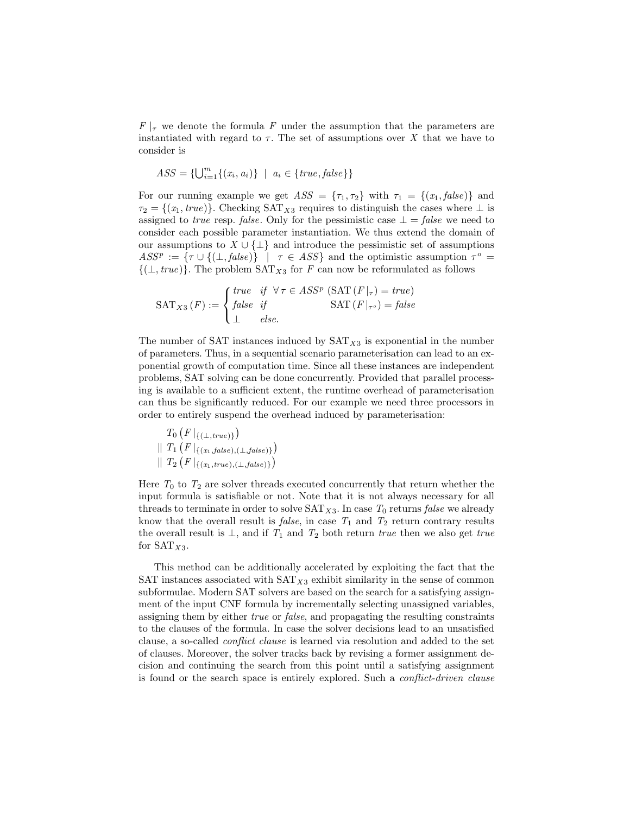$F|_{\tau}$  we denote the formula F under the assumption that the parameters are instantiated with regard to  $\tau$ . The set of assumptions over X that we have to consider is

$$
ASS = {\bigcup_{i=1}^{m} \{(x_i, a_i)\} \ \mid \ a_i \in {\{true, false\}}\}
$$

For our running example we get  $ASS = {\tau_1, \tau_2}$  with  $\tau_1 = {(x_1, false)}$  and  $\tau_2 = \{(x_1, true)\}\.$  Checking SAT<sub>X3</sub> requires to distinguish the cases where  $\perp$  is assigned to *true* resp. *false*. Only for the pessimistic case  $\bot = \text{false}$  we need to consider each possible parameter instantiation. We thus extend the domain of our assumptions to  $X \cup {\{\perp\}}$  and introduce the pessimistic set of assumptions  $ASS^p := {\tau \cup \{(\bot, false)\} \mid \tau \in ASS}$  and the optimistic assumption  $\tau^o =$  $\{(\perp, true)\}.$  The problem SAT<sub>X3</sub> for F can now be reformulated as follows

$$
SAT_{X3}(F) := \begin{cases} true & if \forall \tau \in ASS^{p} (SAT(F|_{\tau}) = true) \\ false & if \quad SAT(F|_{\tau^{o}}) = false \\ \bot & else. \end{cases}
$$

The number of SAT instances induced by  $SAT_{X3}$  is exponential in the number of parameters. Thus, in a sequential scenario parameterisation can lead to an exponential growth of computation time. Since all these instances are independent problems, SAT solving can be done concurrently. Provided that parallel processing is available to a sufficient extent, the runtime overhead of parameterisation can thus be significantly reduced. For our example we need three processors in order to entirely suspend the overhead induced by parameterisation:

$$
T_0(F|_{\{(L, true)\}})
$$
  
||  $T_1(F|_{\{(x_1, false), (\perp, false)\}})$   
||  $T_2(F|_{\{(x_1, true), (\perp, false)\}})$ 

Here  $T_0$  to  $T_2$  are solver threads executed concurrently that return whether the input formula is satisfiable or not. Note that it is not always necessary for all threads to terminate in order to solve  $SAT_{X3}$ . In case  $T_0$  returns false we already know that the overall result is *false*, in case  $T_1$  and  $T_2$  return contrary results the overall result is  $\perp$ , and if  $T_1$  and  $T_2$  both return true then we also get true for  $SAT_{X3}$ .

This method can be additionally accelerated by exploiting the fact that the SAT instances associated with  $SAT_{X3}$  exhibit similarity in the sense of common subformulae. Modern SAT solvers are based on the search for a satisfying assignment of the input CNF formula by incrementally selecting unassigned variables, assigning them by either true or false, and propagating the resulting constraints to the clauses of the formula. In case the solver decisions lead to an unsatisfied clause, a so-called conflict clause is learned via resolution and added to the set of clauses. Moreover, the solver tracks back by revising a former assignment decision and continuing the search from this point until a satisfying assignment is found or the search space is entirely explored. Such a conflict-driven clause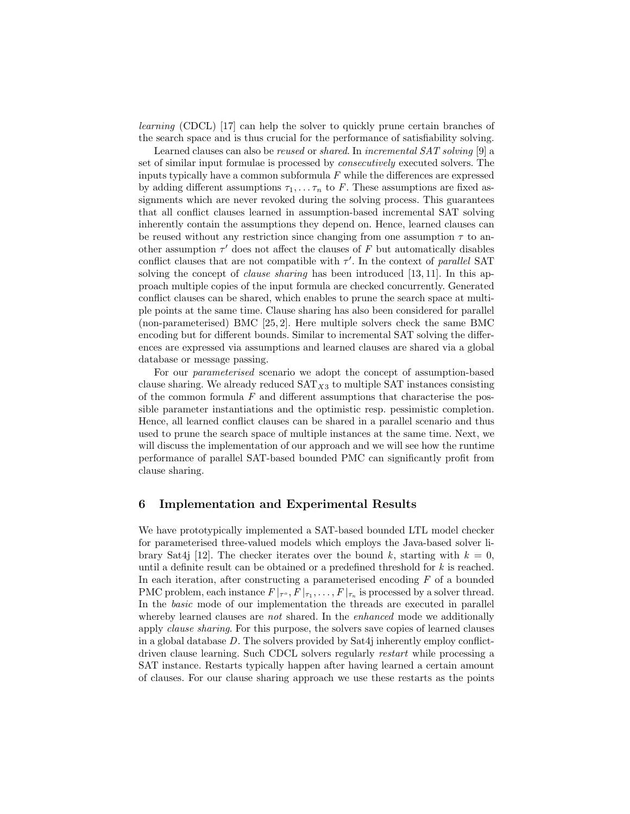learning (CDCL) [17] can help the solver to quickly prune certain branches of the search space and is thus crucial for the performance of satisfiability solving.

Learned clauses can also be reused or shared. In incremental SAT solving [9] a set of similar input formulae is processed by consecutively executed solvers. The inputs typically have a common subformula  $F$  while the differences are expressed by adding different assumptions  $\tau_1, \ldots, \tau_n$  to F. These assumptions are fixed assignments which are never revoked during the solving process. This guarantees that all conflict clauses learned in assumption-based incremental SAT solving inherently contain the assumptions they depend on. Hence, learned clauses can be reused without any restriction since changing from one assumption  $\tau$  to another assumption  $\tau'$  does not affect the clauses of F but automatically disables conflict clauses that are not compatible with  $\tau'$ . In the context of parallel SAT solving the concept of *clause sharing* has been introduced [13, 11]. In this approach multiple copies of the input formula are checked concurrently. Generated conflict clauses can be shared, which enables to prune the search space at multiple points at the same time. Clause sharing has also been considered for parallel (non-parameterised) BMC [25, 2]. Here multiple solvers check the same BMC encoding but for different bounds. Similar to incremental SAT solving the differences are expressed via assumptions and learned clauses are shared via a global database or message passing.

For our parameterised scenario we adopt the concept of assumption-based clause sharing. We already reduced  $SAT_{X3}$  to multiple SAT instances consisting of the common formula  $F$  and different assumptions that characterise the possible parameter instantiations and the optimistic resp. pessimistic completion. Hence, all learned conflict clauses can be shared in a parallel scenario and thus used to prune the search space of multiple instances at the same time. Next, we will discuss the implementation of our approach and we will see how the runtime performance of parallel SAT-based bounded PMC can significantly profit from clause sharing.

### 6 Implementation and Experimental Results

We have prototypically implemented a SAT-based bounded LTL model checker for parameterised three-valued models which employs the Java-based solver library Sat4j [12]. The checker iterates over the bound k, starting with  $k = 0$ , until a definite result can be obtained or a predefined threshold for k is reached. In each iteration, after constructing a parameterised encoding F of a bounded PMC problem, each instance  $F|_{\tau^o}, F|_{\tau_1}, \ldots, F|_{\tau_n}$  is processed by a solver thread. In the basic mode of our implementation the threads are executed in parallel whereby learned clauses are *not* shared. In the *enhanced* mode we additionally apply clause sharing. For this purpose, the solvers save copies of learned clauses in a global database D. The solvers provided by Sat4j inherently employ conflictdriven clause learning. Such CDCL solvers regularly restart while processing a SAT instance. Restarts typically happen after having learned a certain amount of clauses. For our clause sharing approach we use these restarts as the points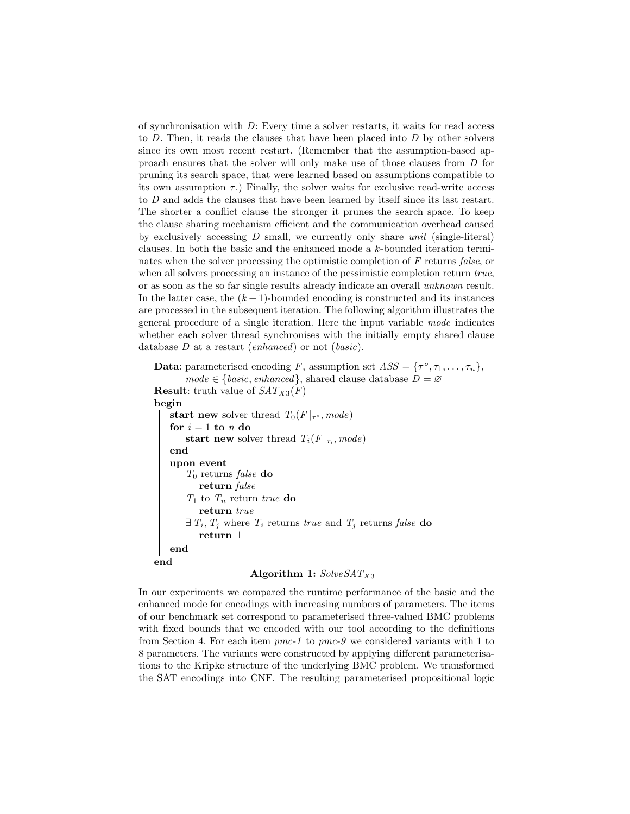of synchronisation with  $D$ : Every time a solver restarts, it waits for read access to  $D$ . Then, it reads the clauses that have been placed into  $D$  by other solvers since its own most recent restart. (Remember that the assumption-based approach ensures that the solver will only make use of those clauses from D for pruning its search space, that were learned based on assumptions compatible to its own assumption  $\tau$ .) Finally, the solver waits for exclusive read-write access to D and adds the clauses that have been learned by itself since its last restart. The shorter a conflict clause the stronger it prunes the search space. To keep the clause sharing mechanism efficient and the communication overhead caused by exclusively accessing  $D$  small, we currently only share unit (single-literal) clauses. In both the basic and the enhanced mode a k-bounded iteration terminates when the solver processing the optimistic completion of F returns false, or when all solvers processing an instance of the pessimistic completion return true, or as soon as the so far single results already indicate an overall unknown result. In the latter case, the  $(k+1)$ -bounded encoding is constructed and its instances are processed in the subsequent iteration. The following algorithm illustrates the general procedure of a single iteration. Here the input variable mode indicates whether each solver thread synchronises with the initially empty shared clause database  $D$  at a restart (*enhanced*) or not (*basic*).

**Data:** parameterised encoding F, assumption set  $ASS = {\tau^o, \tau_1, ..., \tau_n}$ ,  $mode \in \{basic, enhanced\}, shared clause database D = \emptyset$ **Result:** truth value of  $SAT_{X3}(F)$ begin start new solver thread  $T_0(F|_{\tau_o}, mode)$ for  $i = 1$  to n do start new solver thread  $T_i(F|_{\tau_i}, mode)$ end upon event  $T_0$ returns $\emph{false}$ do  ${\bf return} \ false$  $T_1$  to  $T_n$  return true do return true  $\exists T_i, T_j$  where  $T_i$  returns true and  $T_j$  returns false do return ⊥ end end

## Algorithm 1:  $SolveSAT_{X3}$

In our experiments we compared the runtime performance of the basic and the enhanced mode for encodings with increasing numbers of parameters. The items of our benchmark set correspond to parameterised three-valued BMC problems with fixed bounds that we encoded with our tool according to the definitions from Section 4. For each item  $pmc-1$  to  $pmc-9$  we considered variants with 1 to 8 parameters. The variants were constructed by applying different parameterisations to the Kripke structure of the underlying BMC problem. We transformed the SAT encodings into CNF. The resulting parameterised propositional logic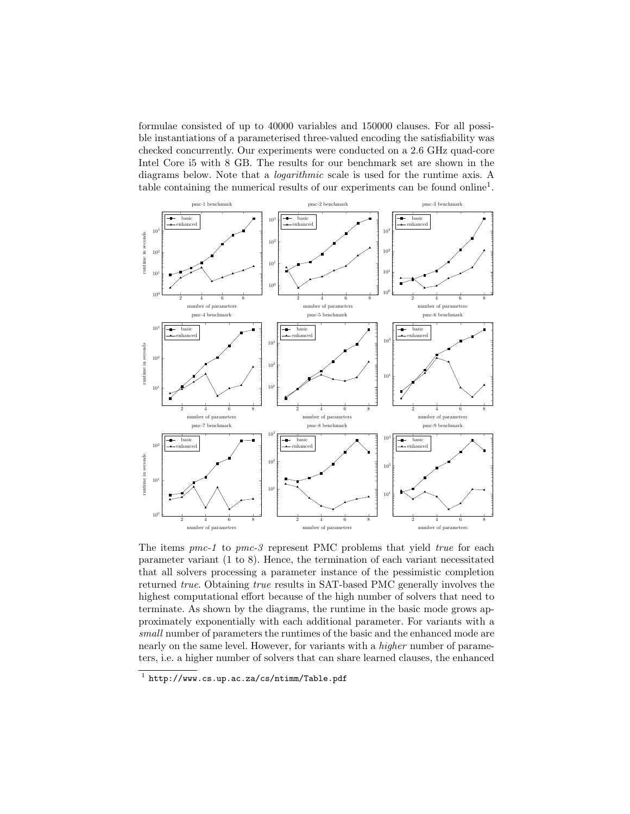formulae consisted of up to 40000 variables and 150000 clauses. For all possible instantiations of a parameterised three-valued encoding the satisfiability was checked concurrently. Our experiments were conducted on a 2.6 GHz quad-core Intel Core i5 with 8 GB. The results for our benchmark set are shown in the diagrams below. Note that a logarithmic scale is used for the runtime axis. A table containing the numerical results of our experiments can be found online<sup>1</sup>.



The items  $pmc-1$  to  $pmc-3$  represent PMC problems that yield *true* for each parameter variant (1 to 8). Hence, the termination of each variant necessitated that all solvers processing a parameter instance of the pessimistic completion returned true. Obtaining true results in SAT-based PMC generally involves the highest computational effort because of the high number of solvers that need to terminate. As shown by the diagrams, the runtime in the basic mode grows approximately exponentially with each additional parameter. For variants with a small number of parameters the runtimes of the basic and the enhanced mode are nearly on the same level. However, for variants with a higher number of parameters, i.e. a higher number of solvers that can share learned clauses, the enhanced

 $^1$  http://www.cs.up.ac.za/cs/ntimm/Table.pdf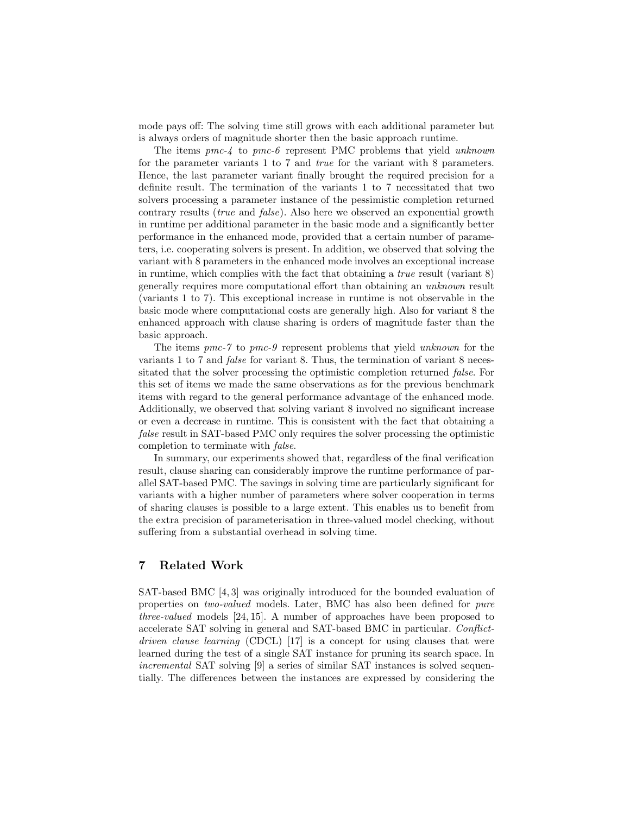mode pays off: The solving time still grows with each additional parameter but is always orders of magnitude shorter then the basic approach runtime.

The items pmc-4 to pmc-6 represent PMC problems that yield unknown for the parameter variants 1 to 7 and true for the variant with 8 parameters. Hence, the last parameter variant finally brought the required precision for a definite result. The termination of the variants 1 to 7 necessitated that two solvers processing a parameter instance of the pessimistic completion returned contrary results (true and false). Also here we observed an exponential growth in runtime per additional parameter in the basic mode and a significantly better performance in the enhanced mode, provided that a certain number of parameters, i.e. cooperating solvers is present. In addition, we observed that solving the variant with 8 parameters in the enhanced mode involves an exceptional increase in runtime, which complies with the fact that obtaining a *true* result (variant  $8$ ) generally requires more computational effort than obtaining an unknown result (variants 1 to 7). This exceptional increase in runtime is not observable in the basic mode where computational costs are generally high. Also for variant 8 the enhanced approach with clause sharing is orders of magnitude faster than the basic approach.

The items pmc-7 to pmc-9 represent problems that yield unknown for the variants 1 to 7 and false for variant 8. Thus, the termination of variant 8 necessitated that the solver processing the optimistic completion returned false. For this set of items we made the same observations as for the previous benchmark items with regard to the general performance advantage of the enhanced mode. Additionally, we observed that solving variant 8 involved no significant increase or even a decrease in runtime. This is consistent with the fact that obtaining a false result in SAT-based PMC only requires the solver processing the optimistic completion to terminate with false.

In summary, our experiments showed that, regardless of the final verification result, clause sharing can considerably improve the runtime performance of parallel SAT-based PMC. The savings in solving time are particularly significant for variants with a higher number of parameters where solver cooperation in terms of sharing clauses is possible to a large extent. This enables us to benefit from the extra precision of parameterisation in three-valued model checking, without suffering from a substantial overhead in solving time.

## 7 Related Work

SAT-based BMC [4, 3] was originally introduced for the bounded evaluation of properties on two-valued models. Later, BMC has also been defined for pure three-valued models [24, 15]. A number of approaches have been proposed to accelerate SAT solving in general and SAT-based BMC in particular. Conflictdriven clause learning (CDCL) [17] is a concept for using clauses that were learned during the test of a single SAT instance for pruning its search space. In incremental SAT solving [9] a series of similar SAT instances is solved sequentially. The differences between the instances are expressed by considering the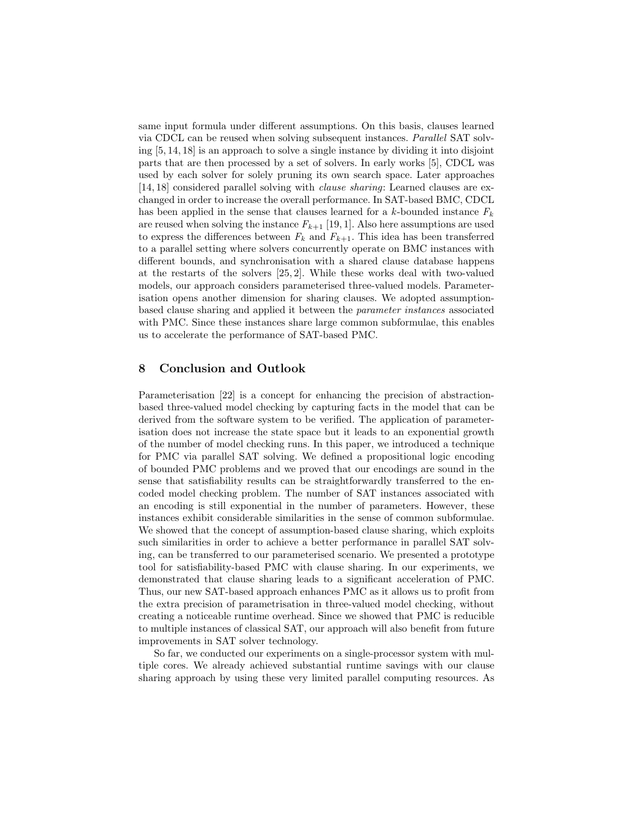same input formula under different assumptions. On this basis, clauses learned via CDCL can be reused when solving subsequent instances. Parallel SAT solving [5, 14, 18] is an approach to solve a single instance by dividing it into disjoint parts that are then processed by a set of solvers. In early works [5], CDCL was used by each solver for solely pruning its own search space. Later approaches [14, 18] considered parallel solving with clause sharing: Learned clauses are exchanged in order to increase the overall performance. In SAT-based BMC, CDCL has been applied in the sense that clauses learned for a k-bounded instance  $F_k$ are reused when solving the instance  $F_{k+1}$  [19, 1]. Also here assumptions are used to express the differences between  $F_k$  and  $F_{k+1}$ . This idea has been transferred to a parallel setting where solvers concurrently operate on BMC instances with different bounds, and synchronisation with a shared clause database happens at the restarts of the solvers [25, 2]. While these works deal with two-valued models, our approach considers parameterised three-valued models. Parameterisation opens another dimension for sharing clauses. We adopted assumptionbased clause sharing and applied it between the parameter instances associated with PMC. Since these instances share large common subformulae, this enables us to accelerate the performance of SAT-based PMC.

#### 8 Conclusion and Outlook

Parameterisation [22] is a concept for enhancing the precision of abstractionbased three-valued model checking by capturing facts in the model that can be derived from the software system to be verified. The application of parameterisation does not increase the state space but it leads to an exponential growth of the number of model checking runs. In this paper, we introduced a technique for PMC via parallel SAT solving. We defined a propositional logic encoding of bounded PMC problems and we proved that our encodings are sound in the sense that satisfiability results can be straightforwardly transferred to the encoded model checking problem. The number of SAT instances associated with an encoding is still exponential in the number of parameters. However, these instances exhibit considerable similarities in the sense of common subformulae. We showed that the concept of assumption-based clause sharing, which exploits such similarities in order to achieve a better performance in parallel SAT solving, can be transferred to our parameterised scenario. We presented a prototype tool for satisfiability-based PMC with clause sharing. In our experiments, we demonstrated that clause sharing leads to a significant acceleration of PMC. Thus, our new SAT-based approach enhances PMC as it allows us to profit from the extra precision of parametrisation in three-valued model checking, without creating a noticeable runtime overhead. Since we showed that PMC is reducible to multiple instances of classical SAT, our approach will also benefit from future improvements in SAT solver technology.

So far, we conducted our experiments on a single-processor system with multiple cores. We already achieved substantial runtime savings with our clause sharing approach by using these very limited parallel computing resources. As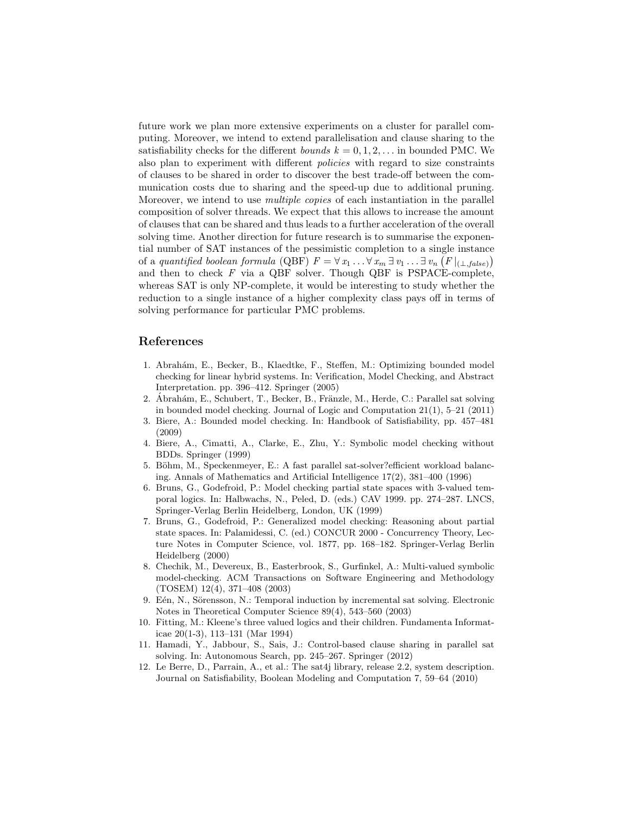future work we plan more extensive experiments on a cluster for parallel computing. Moreover, we intend to extend parallelisation and clause sharing to the satisfiability checks for the different bounds  $k = 0, 1, 2, \ldots$  in bounded PMC. We also plan to experiment with different policies with regard to size constraints of clauses to be shared in order to discover the best trade-off between the communication costs due to sharing and the speed-up due to additional pruning. Moreover, we intend to use *multiple copies* of each instantiation in the parallel composition of solver threads. We expect that this allows to increase the amount of clauses that can be shared and thus leads to a further acceleration of the overall solving time. Another direction for future research is to summarise the exponential number of SAT instances of the pessimistic completion to a single instance of a quantified boolean formula (QBF)  $F = \forall x_1 \dots \forall x_m \exists v_1 \dots \exists v_n (F|_{(\perp, false)})$ and then to check  $F$  via a QBF solver. Though QBF is PSPACE-complete, whereas SAT is only NP-complete, it would be interesting to study whether the reduction to a single instance of a higher complexity class pays off in terms of solving performance for particular PMC problems.

### References

- 1. Abrah´am, E., Becker, B., Klaedtke, F., Steffen, M.: Optimizing bounded model checking for linear hybrid systems. In: Verification, Model Checking, and Abstract Interpretation. pp. 396–412. Springer (2005)
- 2. Abrahám, E., Schubert, T., Becker, B., Fränzle, M., Herde, C.: Parallel sat solving in bounded model checking. Journal of Logic and Computation 21(1), 5–21 (2011)
- 3. Biere, A.: Bounded model checking. In: Handbook of Satisfiability, pp. 457–481 (2009)
- 4. Biere, A., Cimatti, A., Clarke, E., Zhu, Y.: Symbolic model checking without BDDs. Springer (1999)
- 5. Böhm, M., Speckenmeyer, E.: A fast parallel sat-solver? efficient workload balancing. Annals of Mathematics and Artificial Intelligence 17(2), 381–400 (1996)
- 6. Bruns, G., Godefroid, P.: Model checking partial state spaces with 3-valued temporal logics. In: Halbwachs, N., Peled, D. (eds.) CAV 1999. pp. 274–287. LNCS, Springer-Verlag Berlin Heidelberg, London, UK (1999)
- 7. Bruns, G., Godefroid, P.: Generalized model checking: Reasoning about partial state spaces. In: Palamidessi, C. (ed.) CONCUR 2000 - Concurrency Theory, Lecture Notes in Computer Science, vol. 1877, pp. 168–182. Springer-Verlag Berlin Heidelberg (2000)
- 8. Chechik, M., Devereux, B., Easterbrook, S., Gurfinkel, A.: Multi-valued symbolic model-checking. ACM Transactions on Software Engineering and Methodology (TOSEM) 12(4), 371–408 (2003)
- 9. Eén, N., Sörensson, N.: Temporal induction by incremental sat solving. Electronic Notes in Theoretical Computer Science 89(4), 543–560 (2003)
- 10. Fitting, M.: Kleene's three valued logics and their children. Fundamenta Informaticae 20(1-3), 113–131 (Mar 1994)
- 11. Hamadi, Y., Jabbour, S., Sais, J.: Control-based clause sharing in parallel sat solving. In: Autonomous Search, pp. 245–267. Springer (2012)
- 12. Le Berre, D., Parrain, A., et al.: The sat4j library, release 2.2, system description. Journal on Satisfiability, Boolean Modeling and Computation 7, 59–64 (2010)